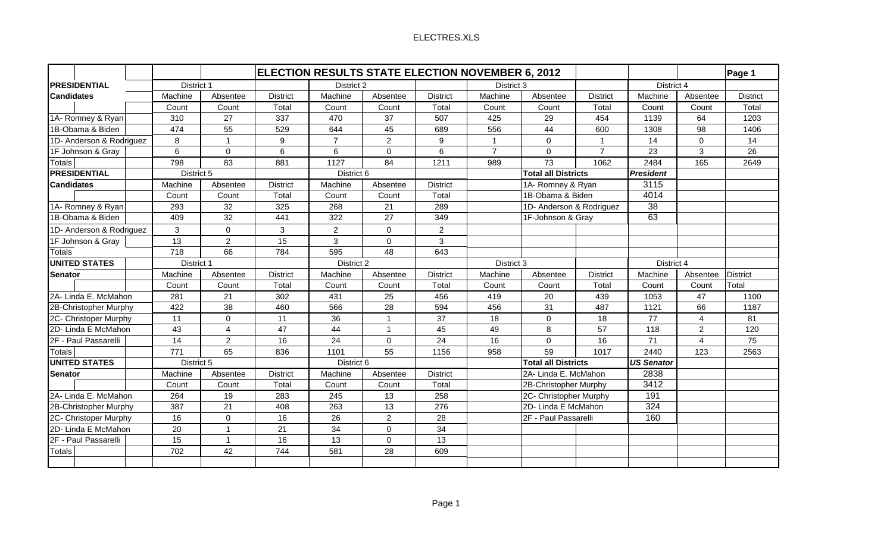|                          | <b>ELECTION RESULTS STATE ELECTION NOVEMBER 6, 2012</b> |                 |                 |                |                 |                 |                            |                            |                   |                  |                | Page 1          |
|--------------------------|---------------------------------------------------------|-----------------|-----------------|----------------|-----------------|-----------------|----------------------------|----------------------------|-------------------|------------------|----------------|-----------------|
| PRESIDENTIAL             | District 1                                              |                 |                 | District 2     |                 |                 | District 3                 |                            |                   | District 4       |                |                 |
| <b>Candidates</b>        | Machine                                                 | Absentee        | <b>District</b> | Machine        | Absentee        | <b>District</b> | Machine                    | Absentee                   | <b>District</b>   | Machine          | Absentee       | <b>District</b> |
|                          | Count                                                   | Count           | Total           | Count          | Count           | Total           | Count                      | Count                      | Total             | Count            | Count          | Total           |
| 1A- Romney & Ryan        | 310                                                     | 27              | 337             | 470            | 37              | 507             | 425                        | 29                         | 454               | 1139             | 64             | 1203            |
| 1B-Obama & Biden         | 474                                                     | 55              | 529             | 644            | 45              | 689             | 556                        | 44                         | 600               | 1308             | 98             | 1406            |
| 1D- Anderson & Rodriguez | 8                                                       | $\overline{1}$  | 9               | $\overline{7}$ | $\overline{2}$  | 9               | $\overline{1}$             | $\mathbf 0$                | $\overline{1}$    | 14               | $\mathbf 0$    | 14              |
| 1F Johnson & Gray        | 6                                                       | $\mathbf 0$     | $6\phantom{a}$  | 6              | $\Omega$        | 6               | $\overline{7}$             | $\mathbf 0$                | $\overline{7}$    | 23               | 3              | 26              |
| <b>Totals</b>            | 798                                                     | 83              | 881             | 1127           | 84              | 1211            | 989                        | 73                         | 1062              | 2484             | 165            | 2649            |
| <b>PRESIDENTIAL</b>      | District 5                                              |                 |                 | District 6     |                 |                 |                            | <b>Total all Districts</b> |                   | <b>President</b> |                |                 |
| <b>Candidates</b>        | Machine                                                 | Absentee        | <b>District</b> | Machine        | Absentee        | <b>District</b> |                            | 1A- Romney & Ryan          |                   | 3115             |                |                 |
|                          | Count                                                   | Count           | Total           | Count          | Count           | Total           |                            | 1B-Obama & Biden           |                   | 4014             |                |                 |
| 1A- Romney & Ryan        | 293                                                     | 32              | 325             | 268            | 21              | 289             |                            | 1D- Anderson & Rodriguez   |                   |                  |                |                 |
| 1B-Obama & Biden         | 409                                                     | $\overline{32}$ | 441             | 322            | $\overline{27}$ | 349             | 1F-Johnson & Gray          |                            |                   | 63               |                |                 |
| 1D- Anderson & Rodriguez | 3                                                       | $\Omega$        | 3               | $\overline{2}$ | $\Omega$        | $\overline{2}$  |                            |                            |                   |                  |                |                 |
| 1F Johnson & Gray        | 13                                                      | 2               | 15              | 3              | $\Omega$        | 3               |                            |                            |                   |                  |                |                 |
| <b>Totals</b>            | 718                                                     | 66              | 784             | 595            | 48              | 643             |                            |                            |                   |                  |                |                 |
| <b>UNITED STATES</b>     |                                                         | District 1      |                 | District 2     |                 |                 | District 3                 |                            | District 4        |                  |                |                 |
| <b>Senator</b>           | Machine                                                 | Absentee        | <b>District</b> | Machine        | Absentee        | <b>District</b> | Machine                    | Absentee                   | <b>District</b>   | Machine          | Absentee       | <b>District</b> |
|                          | Count                                                   | Count           | Total           | Count          | Count           | Total           | Count                      | Count                      | Total             | Count            | Count          | Total           |
| 2A- Linda E. McMahon     | 281                                                     | 21              | 302             | 431            | 25              | 456             | 419                        | 20                         | 439               | 1053             | 47             | 1100            |
| 2B-Christopher Murphy    | 422                                                     | 38              | 460             | 566            | 28              | 594             | 456                        | 31                         | 487               | 1121             | 66             | 1187            |
| 2C- Christoper Murphy    | 11                                                      | $\mathbf 0$     | 11              | 36             | -1              | 37              | 18                         | $\mathbf 0$                | 18                | 77               | 4              | 81              |
| 2D- Linda E McMahon      | 43                                                      | $\overline{4}$  | 47              | 44             | $\overline{1}$  | 45              | 49                         | 8                          | 57                | 118              | $\overline{2}$ | 120             |
| 2F - Paul Passarelli     | 14                                                      | 2               | 16              | 24             | $\Omega$        | 24              | 16                         | $\Omega$                   | 16                | 71               | 4              | 75              |
| <b>Totals</b>            | 771                                                     | 65              | 836             | 1101           | 55              | 1156            | 958                        | 59                         | 1017              | 2440             | 123            | 2563            |
| <b>UNITED STATES</b>     | District 5                                              |                 |                 | District 6     |                 |                 | <b>Total all Districts</b> |                            | <b>US Senator</b> |                  |                |                 |
| <b>Senator</b>           | Machine                                                 | Absentee        | <b>District</b> | Machine        | Absentee        | <b>District</b> |                            | 2A- Linda E. McMahon       |                   | 2838             |                |                 |
|                          | Count                                                   | Count           | Total           | Count          | Count           | Total           |                            | 2B-Christopher Murphy      |                   | 3412             |                |                 |
| 2A- Linda E. McMahon     | 264                                                     | 19              | 283             | 245            | 13              | 258             |                            | 2C- Christopher Murphy     |                   | 191              |                |                 |
| 2B-Christopher Murphy    | 387                                                     | 21              | 408             | 263            | 13              | 276             |                            | 2D- Linda E McMahon        |                   | 324              |                |                 |
| 2C- Christoper Murphy    | 16                                                      | $\Omega$        | 16              | 26             | $\overline{2}$  | 28              |                            | 2F - Paul Passarelli       |                   | 160              |                |                 |
| 2D- Linda E McMahon      | 20                                                      | $\overline{1}$  | 21              | 34             | $\mathbf 0$     | 34              |                            |                            |                   |                  |                |                 |
| 2F - Paul Passarelli     | 15                                                      | $\overline{1}$  | 16              | 13             | $\Omega$        | 13              |                            |                            |                   |                  |                |                 |
| <b>Totals</b>            | 702                                                     | 42              | 744             | 581            | 28              | 609             |                            |                            |                   |                  |                |                 |
|                          |                                                         |                 |                 |                |                 |                 |                            |                            |                   |                  |                |                 |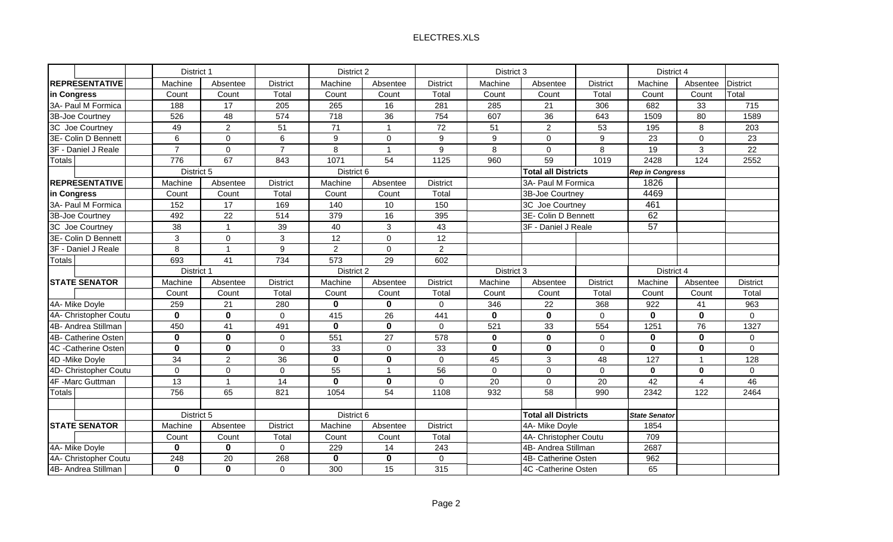| <b>District</b><br><b>District</b><br>Machine<br>Machine<br><b>District</b><br>Machine<br>Absentee<br>Machine<br>Absentee<br>Absentee<br><b>District</b><br>Absentee<br>Total<br>Count<br>Total<br>Count<br>Count<br>Total<br>Count<br>Count<br>Total<br>Count<br>Count<br>Count<br>17<br>16<br>715<br>3A- Paul M Formica<br>188<br>205<br>265<br>281<br>285<br>21<br>306<br>682<br>33<br>$\overline{574}$<br>718<br>$\overline{36}$<br>$\overline{36}$<br>3B-Joe Courtney<br>526<br>48<br>754<br>607<br>643<br>1509<br>80<br>1589<br>$\overline{2}$<br>51<br>71<br>72<br>51<br>$\overline{c}$<br>53<br>49<br>195<br>8<br>203<br>3C Joe Courtney<br>$\overline{ }$<br>6<br>$\mathbf 0$<br>6<br>9<br>$\overline{0}$<br>9<br>$9\,$<br>9<br>23<br>23<br>3E- Colin D Bennett<br>$\mathbf 0$<br>$\Omega$<br>$\overline{7}$<br>$\overline{7}$<br>8<br>9<br>8<br>8<br>19<br>22<br>$\mathbf 0$<br>$\mathbf 0$<br>3<br>3F - Daniel J Reale<br>59<br>67<br>1071<br>54<br>2428<br>2552<br><b>Totals</b><br>776<br>1125<br>960<br>1019<br>124<br>843<br>District 5<br><b>Total all Districts</b><br>District 6<br><b>Rep in Congress</b><br>1826<br>3A- Paul M Formica<br>Machine<br><b>District</b><br>Machine<br>Absentee<br><b>District</b><br>Absentee<br>4469<br>Total<br>3B-Joe Courtney<br>Count<br>Total<br>Count<br>Count<br>Count<br>461<br>10<br>3A- Paul M Formica<br>152<br>17<br>169<br>140<br>150<br>3C Joe Courtney<br>62<br>22<br>514<br>379<br>16<br>3B-Joe Courtney<br>492<br>395<br>3E- Colin D Bennett<br>57<br>38<br>39<br>3<br>43<br>3F - Daniel J Reale<br>3C Joe Courtney<br>$\overline{1}$<br>40<br>3<br>3<br>$\overline{12}$<br>$\overline{12}$<br>3E- Colin D Bennett<br>$\mathbf{0}$<br>$\Omega$<br>$\overline{2}$<br>$\overline{2}$<br>8<br>9<br>$\overline{0}$<br>$\overline{1}$<br>29<br>693<br>41<br>734<br>573<br>602<br><b>Totals</b><br>District 1<br>District 2<br>District 3<br>District 4<br><b>District</b><br>Machine<br><b>District</b><br>Machine<br>Machine<br><b>District</b><br>Machine<br>Absentee<br>Absentee<br>Absentee<br><b>District</b><br>Absentee<br>Total<br>Count<br>Count<br>Total<br>Count<br>Count<br>Total<br>Count<br>Count<br>Total<br>Count<br>Count<br>$\mathbf 0$<br>$\mathbf 0$<br>4A- Mike Doyle<br>259<br>21<br>280<br>$\mathbf 0$<br>346<br>22<br>368<br>922<br>41<br>963<br>$\overline{\mathbf{0}}$<br>$\mathbf 0$<br>$\mathbf 0$<br>$\overline{26}$<br>$\mathbf 0$<br>$\mathbf{0}$<br>$\mathbf 0$<br>$\overline{0}$<br>415<br>441<br>$\mathbf 0$<br>$\overline{0}$<br>4A- Christopher Coutu<br>$\mathbf 0$<br>$\mathbf{0}$<br>41<br>491<br>33<br>4B- Andrea Stillman<br>450<br>$\mathbf 0$<br>521<br>554<br>1251<br>76<br>1327<br>$\mathbf 0$<br>$\mathbf 0$<br>$\mathbf 0$<br>551<br>27<br>$\mathbf 0$<br>$\mathbf 0$<br>$\bf{0}$<br>4B- Catherine Osten<br>$\Omega$<br>578<br>$\Omega$<br>$\mathbf 0$<br>$\mathbf 0$<br>$\mathbf 0$<br>$\mathbf 0$<br>$\mathbf 0$<br>$\mathbf{0}$<br>$\mathbf{0}$<br>$\overline{0}$<br>$\overline{0}$<br>33<br>$\Omega$<br>33<br>$\mathbf 0$<br>4C -Catherine Osten<br>$\bf{0}$<br>34<br>$\overline{c}$<br>36<br>$\mathbf{0}$<br>45<br>$\mathbf{3}$<br>48<br>127<br>128<br>$\mathbf 0$<br>$\overline{1}$<br>4D - Mike Doyle<br>$\mathbf 0$<br>55<br>56<br>$\mathbf 0$<br>$\mathbf 0$<br>$\mathbf 0$<br>$\overline{0}$<br>4D- Christopher Coutu<br>$\mathbf 0$<br>0<br>$\mathbf{0}$<br>$\overline{A}$<br>$\mathbf{0}$<br>$\mathbf 0$<br>$\mathbf{0}$<br>4F -Marc Guttman<br>13<br>14<br>20<br>$\mathbf 0$<br>20<br>42<br>46<br>$\overline{1}$<br>$\Omega$<br>4<br>756<br>$\overline{58}$<br><b>Totals</b><br>65<br>821<br>1054<br>54<br>932<br>990<br>2342<br>1108<br>122<br>2464<br>District 5<br>District 6<br><b>Total all Districts</b><br><b>State Senator</b><br><b>District</b><br><b>District</b><br>4A- Mike Doyle<br><b>STATE SENATOR</b><br>Machine<br>Absentee<br>Machine<br>Absentee<br>1854<br>Total<br>4A- Christopher Coutu<br>709<br>Count<br>Count<br>Total<br>Count<br>Count<br>$\bf{0}$<br>$\mathbf 0$<br>4A- Mike Doyle<br>229<br>14<br>243<br>4B- Andrea Stillman<br>2687<br>0<br>$\overline{\mathbf{0}}$<br>$\overline{\mathbf{0}}$<br>248<br>268<br>962<br>4A- Christopher Coutu<br>$\overline{20}$<br>$\mathbf 0$<br>4B- Catherine Osten<br>4C -Catherine Osten |                       | District 1  |             |          | District 2 |    |     |  | District 3 |  |    | District 4 |  |
|---------------------------------------------------------------------------------------------------------------------------------------------------------------------------------------------------------------------------------------------------------------------------------------------------------------------------------------------------------------------------------------------------------------------------------------------------------------------------------------------------------------------------------------------------------------------------------------------------------------------------------------------------------------------------------------------------------------------------------------------------------------------------------------------------------------------------------------------------------------------------------------------------------------------------------------------------------------------------------------------------------------------------------------------------------------------------------------------------------------------------------------------------------------------------------------------------------------------------------------------------------------------------------------------------------------------------------------------------------------------------------------------------------------------------------------------------------------------------------------------------------------------------------------------------------------------------------------------------------------------------------------------------------------------------------------------------------------------------------------------------------------------------------------------------------------------------------------------------------------------------------------------------------------------------------------------------------------------------------------------------------------------------------------------------------------------------------------------------------------------------------------------------------------------------------------------------------------------------------------------------------------------------------------------------------------------------------------------------------------------------------------------------------------------------------------------------------------------------------------------------------------------------------------------------------------------------------------------------------------------------------------------------------------------------------------------------------------------------------------------------------------------------------------------------------------------------------------------------------------------------------------------------------------------------------------------------------------------------------------------------------------------------------------------------------------------------------------------------------------------------------------------------------------------------------------------------------------------------------------------------------------------------------------------------------------------------------------------------------------------------------------------------------------------------------------------------------------------------------------------------------------------------------------------------------------------------------------------------------------------------------------------------------------------------------------------------------------------------------------------------------------------------------------------------------------------------------------------------------------------------------------------------------------------------------------------------------------------------------------------------------------------------------------------------------------------------------------------------------------------------------------------------------------------------------------------------------------------------------------------------------------------------------------|-----------------------|-------------|-------------|----------|------------|----|-----|--|------------|--|----|------------|--|
|                                                                                                                                                                                                                                                                                                                                                                                                                                                                                                                                                                                                                                                                                                                                                                                                                                                                                                                                                                                                                                                                                                                                                                                                                                                                                                                                                                                                                                                                                                                                                                                                                                                                                                                                                                                                                                                                                                                                                                                                                                                                                                                                                                                                                                                                                                                                                                                                                                                                                                                                                                                                                                                                                                                                                                                                                                                                                                                                                                                                                                                                                                                                                                                                                                                                                                                                                                                                                                                                                                                                                                                                                                                                                                                                                                                                                                                                                                                                                                                                                                                                                                                                                                                                                                                                                       | <b>REPRESENTATIVE</b> |             |             |          |            |    |     |  |            |  |    |            |  |
|                                                                                                                                                                                                                                                                                                                                                                                                                                                                                                                                                                                                                                                                                                                                                                                                                                                                                                                                                                                                                                                                                                                                                                                                                                                                                                                                                                                                                                                                                                                                                                                                                                                                                                                                                                                                                                                                                                                                                                                                                                                                                                                                                                                                                                                                                                                                                                                                                                                                                                                                                                                                                                                                                                                                                                                                                                                                                                                                                                                                                                                                                                                                                                                                                                                                                                                                                                                                                                                                                                                                                                                                                                                                                                                                                                                                                                                                                                                                                                                                                                                                                                                                                                                                                                                                                       | in Congress           |             |             |          |            |    |     |  |            |  |    |            |  |
|                                                                                                                                                                                                                                                                                                                                                                                                                                                                                                                                                                                                                                                                                                                                                                                                                                                                                                                                                                                                                                                                                                                                                                                                                                                                                                                                                                                                                                                                                                                                                                                                                                                                                                                                                                                                                                                                                                                                                                                                                                                                                                                                                                                                                                                                                                                                                                                                                                                                                                                                                                                                                                                                                                                                                                                                                                                                                                                                                                                                                                                                                                                                                                                                                                                                                                                                                                                                                                                                                                                                                                                                                                                                                                                                                                                                                                                                                                                                                                                                                                                                                                                                                                                                                                                                                       |                       |             |             |          |            |    |     |  |            |  |    |            |  |
|                                                                                                                                                                                                                                                                                                                                                                                                                                                                                                                                                                                                                                                                                                                                                                                                                                                                                                                                                                                                                                                                                                                                                                                                                                                                                                                                                                                                                                                                                                                                                                                                                                                                                                                                                                                                                                                                                                                                                                                                                                                                                                                                                                                                                                                                                                                                                                                                                                                                                                                                                                                                                                                                                                                                                                                                                                                                                                                                                                                                                                                                                                                                                                                                                                                                                                                                                                                                                                                                                                                                                                                                                                                                                                                                                                                                                                                                                                                                                                                                                                                                                                                                                                                                                                                                                       |                       |             |             |          |            |    |     |  |            |  |    |            |  |
|                                                                                                                                                                                                                                                                                                                                                                                                                                                                                                                                                                                                                                                                                                                                                                                                                                                                                                                                                                                                                                                                                                                                                                                                                                                                                                                                                                                                                                                                                                                                                                                                                                                                                                                                                                                                                                                                                                                                                                                                                                                                                                                                                                                                                                                                                                                                                                                                                                                                                                                                                                                                                                                                                                                                                                                                                                                                                                                                                                                                                                                                                                                                                                                                                                                                                                                                                                                                                                                                                                                                                                                                                                                                                                                                                                                                                                                                                                                                                                                                                                                                                                                                                                                                                                                                                       |                       |             |             |          |            |    |     |  |            |  |    |            |  |
|                                                                                                                                                                                                                                                                                                                                                                                                                                                                                                                                                                                                                                                                                                                                                                                                                                                                                                                                                                                                                                                                                                                                                                                                                                                                                                                                                                                                                                                                                                                                                                                                                                                                                                                                                                                                                                                                                                                                                                                                                                                                                                                                                                                                                                                                                                                                                                                                                                                                                                                                                                                                                                                                                                                                                                                                                                                                                                                                                                                                                                                                                                                                                                                                                                                                                                                                                                                                                                                                                                                                                                                                                                                                                                                                                                                                                                                                                                                                                                                                                                                                                                                                                                                                                                                                                       |                       |             |             |          |            |    |     |  |            |  |    |            |  |
|                                                                                                                                                                                                                                                                                                                                                                                                                                                                                                                                                                                                                                                                                                                                                                                                                                                                                                                                                                                                                                                                                                                                                                                                                                                                                                                                                                                                                                                                                                                                                                                                                                                                                                                                                                                                                                                                                                                                                                                                                                                                                                                                                                                                                                                                                                                                                                                                                                                                                                                                                                                                                                                                                                                                                                                                                                                                                                                                                                                                                                                                                                                                                                                                                                                                                                                                                                                                                                                                                                                                                                                                                                                                                                                                                                                                                                                                                                                                                                                                                                                                                                                                                                                                                                                                                       |                       |             |             |          |            |    |     |  |            |  |    |            |  |
|                                                                                                                                                                                                                                                                                                                                                                                                                                                                                                                                                                                                                                                                                                                                                                                                                                                                                                                                                                                                                                                                                                                                                                                                                                                                                                                                                                                                                                                                                                                                                                                                                                                                                                                                                                                                                                                                                                                                                                                                                                                                                                                                                                                                                                                                                                                                                                                                                                                                                                                                                                                                                                                                                                                                                                                                                                                                                                                                                                                                                                                                                                                                                                                                                                                                                                                                                                                                                                                                                                                                                                                                                                                                                                                                                                                                                                                                                                                                                                                                                                                                                                                                                                                                                                                                                       |                       |             |             |          |            |    |     |  |            |  |    |            |  |
|                                                                                                                                                                                                                                                                                                                                                                                                                                                                                                                                                                                                                                                                                                                                                                                                                                                                                                                                                                                                                                                                                                                                                                                                                                                                                                                                                                                                                                                                                                                                                                                                                                                                                                                                                                                                                                                                                                                                                                                                                                                                                                                                                                                                                                                                                                                                                                                                                                                                                                                                                                                                                                                                                                                                                                                                                                                                                                                                                                                                                                                                                                                                                                                                                                                                                                                                                                                                                                                                                                                                                                                                                                                                                                                                                                                                                                                                                                                                                                                                                                                                                                                                                                                                                                                                                       |                       |             |             |          |            |    |     |  |            |  |    |            |  |
|                                                                                                                                                                                                                                                                                                                                                                                                                                                                                                                                                                                                                                                                                                                                                                                                                                                                                                                                                                                                                                                                                                                                                                                                                                                                                                                                                                                                                                                                                                                                                                                                                                                                                                                                                                                                                                                                                                                                                                                                                                                                                                                                                                                                                                                                                                                                                                                                                                                                                                                                                                                                                                                                                                                                                                                                                                                                                                                                                                                                                                                                                                                                                                                                                                                                                                                                                                                                                                                                                                                                                                                                                                                                                                                                                                                                                                                                                                                                                                                                                                                                                                                                                                                                                                                                                       | <b>REPRESENTATIVE</b> |             |             |          |            |    |     |  |            |  |    |            |  |
|                                                                                                                                                                                                                                                                                                                                                                                                                                                                                                                                                                                                                                                                                                                                                                                                                                                                                                                                                                                                                                                                                                                                                                                                                                                                                                                                                                                                                                                                                                                                                                                                                                                                                                                                                                                                                                                                                                                                                                                                                                                                                                                                                                                                                                                                                                                                                                                                                                                                                                                                                                                                                                                                                                                                                                                                                                                                                                                                                                                                                                                                                                                                                                                                                                                                                                                                                                                                                                                                                                                                                                                                                                                                                                                                                                                                                                                                                                                                                                                                                                                                                                                                                                                                                                                                                       | in Congress           |             |             |          |            |    |     |  |            |  |    |            |  |
|                                                                                                                                                                                                                                                                                                                                                                                                                                                                                                                                                                                                                                                                                                                                                                                                                                                                                                                                                                                                                                                                                                                                                                                                                                                                                                                                                                                                                                                                                                                                                                                                                                                                                                                                                                                                                                                                                                                                                                                                                                                                                                                                                                                                                                                                                                                                                                                                                                                                                                                                                                                                                                                                                                                                                                                                                                                                                                                                                                                                                                                                                                                                                                                                                                                                                                                                                                                                                                                                                                                                                                                                                                                                                                                                                                                                                                                                                                                                                                                                                                                                                                                                                                                                                                                                                       |                       |             |             |          |            |    |     |  |            |  |    |            |  |
|                                                                                                                                                                                                                                                                                                                                                                                                                                                                                                                                                                                                                                                                                                                                                                                                                                                                                                                                                                                                                                                                                                                                                                                                                                                                                                                                                                                                                                                                                                                                                                                                                                                                                                                                                                                                                                                                                                                                                                                                                                                                                                                                                                                                                                                                                                                                                                                                                                                                                                                                                                                                                                                                                                                                                                                                                                                                                                                                                                                                                                                                                                                                                                                                                                                                                                                                                                                                                                                                                                                                                                                                                                                                                                                                                                                                                                                                                                                                                                                                                                                                                                                                                                                                                                                                                       |                       |             |             |          |            |    |     |  |            |  |    |            |  |
|                                                                                                                                                                                                                                                                                                                                                                                                                                                                                                                                                                                                                                                                                                                                                                                                                                                                                                                                                                                                                                                                                                                                                                                                                                                                                                                                                                                                                                                                                                                                                                                                                                                                                                                                                                                                                                                                                                                                                                                                                                                                                                                                                                                                                                                                                                                                                                                                                                                                                                                                                                                                                                                                                                                                                                                                                                                                                                                                                                                                                                                                                                                                                                                                                                                                                                                                                                                                                                                                                                                                                                                                                                                                                                                                                                                                                                                                                                                                                                                                                                                                                                                                                                                                                                                                                       |                       |             |             |          |            |    |     |  |            |  |    |            |  |
|                                                                                                                                                                                                                                                                                                                                                                                                                                                                                                                                                                                                                                                                                                                                                                                                                                                                                                                                                                                                                                                                                                                                                                                                                                                                                                                                                                                                                                                                                                                                                                                                                                                                                                                                                                                                                                                                                                                                                                                                                                                                                                                                                                                                                                                                                                                                                                                                                                                                                                                                                                                                                                                                                                                                                                                                                                                                                                                                                                                                                                                                                                                                                                                                                                                                                                                                                                                                                                                                                                                                                                                                                                                                                                                                                                                                                                                                                                                                                                                                                                                                                                                                                                                                                                                                                       |                       |             |             |          |            |    |     |  |            |  |    |            |  |
|                                                                                                                                                                                                                                                                                                                                                                                                                                                                                                                                                                                                                                                                                                                                                                                                                                                                                                                                                                                                                                                                                                                                                                                                                                                                                                                                                                                                                                                                                                                                                                                                                                                                                                                                                                                                                                                                                                                                                                                                                                                                                                                                                                                                                                                                                                                                                                                                                                                                                                                                                                                                                                                                                                                                                                                                                                                                                                                                                                                                                                                                                                                                                                                                                                                                                                                                                                                                                                                                                                                                                                                                                                                                                                                                                                                                                                                                                                                                                                                                                                                                                                                                                                                                                                                                                       | 3F - Daniel J Reale   |             |             |          |            |    |     |  |            |  |    |            |  |
|                                                                                                                                                                                                                                                                                                                                                                                                                                                                                                                                                                                                                                                                                                                                                                                                                                                                                                                                                                                                                                                                                                                                                                                                                                                                                                                                                                                                                                                                                                                                                                                                                                                                                                                                                                                                                                                                                                                                                                                                                                                                                                                                                                                                                                                                                                                                                                                                                                                                                                                                                                                                                                                                                                                                                                                                                                                                                                                                                                                                                                                                                                                                                                                                                                                                                                                                                                                                                                                                                                                                                                                                                                                                                                                                                                                                                                                                                                                                                                                                                                                                                                                                                                                                                                                                                       |                       |             |             |          |            |    |     |  |            |  |    |            |  |
|                                                                                                                                                                                                                                                                                                                                                                                                                                                                                                                                                                                                                                                                                                                                                                                                                                                                                                                                                                                                                                                                                                                                                                                                                                                                                                                                                                                                                                                                                                                                                                                                                                                                                                                                                                                                                                                                                                                                                                                                                                                                                                                                                                                                                                                                                                                                                                                                                                                                                                                                                                                                                                                                                                                                                                                                                                                                                                                                                                                                                                                                                                                                                                                                                                                                                                                                                                                                                                                                                                                                                                                                                                                                                                                                                                                                                                                                                                                                                                                                                                                                                                                                                                                                                                                                                       |                       |             |             |          |            |    |     |  |            |  |    |            |  |
|                                                                                                                                                                                                                                                                                                                                                                                                                                                                                                                                                                                                                                                                                                                                                                                                                                                                                                                                                                                                                                                                                                                                                                                                                                                                                                                                                                                                                                                                                                                                                                                                                                                                                                                                                                                                                                                                                                                                                                                                                                                                                                                                                                                                                                                                                                                                                                                                                                                                                                                                                                                                                                                                                                                                                                                                                                                                                                                                                                                                                                                                                                                                                                                                                                                                                                                                                                                                                                                                                                                                                                                                                                                                                                                                                                                                                                                                                                                                                                                                                                                                                                                                                                                                                                                                                       | <b>STATE SENATOR</b>  |             |             |          |            |    |     |  |            |  |    |            |  |
|                                                                                                                                                                                                                                                                                                                                                                                                                                                                                                                                                                                                                                                                                                                                                                                                                                                                                                                                                                                                                                                                                                                                                                                                                                                                                                                                                                                                                                                                                                                                                                                                                                                                                                                                                                                                                                                                                                                                                                                                                                                                                                                                                                                                                                                                                                                                                                                                                                                                                                                                                                                                                                                                                                                                                                                                                                                                                                                                                                                                                                                                                                                                                                                                                                                                                                                                                                                                                                                                                                                                                                                                                                                                                                                                                                                                                                                                                                                                                                                                                                                                                                                                                                                                                                                                                       |                       |             |             |          |            |    |     |  |            |  |    |            |  |
|                                                                                                                                                                                                                                                                                                                                                                                                                                                                                                                                                                                                                                                                                                                                                                                                                                                                                                                                                                                                                                                                                                                                                                                                                                                                                                                                                                                                                                                                                                                                                                                                                                                                                                                                                                                                                                                                                                                                                                                                                                                                                                                                                                                                                                                                                                                                                                                                                                                                                                                                                                                                                                                                                                                                                                                                                                                                                                                                                                                                                                                                                                                                                                                                                                                                                                                                                                                                                                                                                                                                                                                                                                                                                                                                                                                                                                                                                                                                                                                                                                                                                                                                                                                                                                                                                       |                       |             |             |          |            |    |     |  |            |  |    |            |  |
|                                                                                                                                                                                                                                                                                                                                                                                                                                                                                                                                                                                                                                                                                                                                                                                                                                                                                                                                                                                                                                                                                                                                                                                                                                                                                                                                                                                                                                                                                                                                                                                                                                                                                                                                                                                                                                                                                                                                                                                                                                                                                                                                                                                                                                                                                                                                                                                                                                                                                                                                                                                                                                                                                                                                                                                                                                                                                                                                                                                                                                                                                                                                                                                                                                                                                                                                                                                                                                                                                                                                                                                                                                                                                                                                                                                                                                                                                                                                                                                                                                                                                                                                                                                                                                                                                       |                       |             |             |          |            |    |     |  |            |  |    |            |  |
|                                                                                                                                                                                                                                                                                                                                                                                                                                                                                                                                                                                                                                                                                                                                                                                                                                                                                                                                                                                                                                                                                                                                                                                                                                                                                                                                                                                                                                                                                                                                                                                                                                                                                                                                                                                                                                                                                                                                                                                                                                                                                                                                                                                                                                                                                                                                                                                                                                                                                                                                                                                                                                                                                                                                                                                                                                                                                                                                                                                                                                                                                                                                                                                                                                                                                                                                                                                                                                                                                                                                                                                                                                                                                                                                                                                                                                                                                                                                                                                                                                                                                                                                                                                                                                                                                       |                       |             |             |          |            |    |     |  |            |  |    |            |  |
|                                                                                                                                                                                                                                                                                                                                                                                                                                                                                                                                                                                                                                                                                                                                                                                                                                                                                                                                                                                                                                                                                                                                                                                                                                                                                                                                                                                                                                                                                                                                                                                                                                                                                                                                                                                                                                                                                                                                                                                                                                                                                                                                                                                                                                                                                                                                                                                                                                                                                                                                                                                                                                                                                                                                                                                                                                                                                                                                                                                                                                                                                                                                                                                                                                                                                                                                                                                                                                                                                                                                                                                                                                                                                                                                                                                                                                                                                                                                                                                                                                                                                                                                                                                                                                                                                       |                       |             |             |          |            |    |     |  |            |  |    |            |  |
|                                                                                                                                                                                                                                                                                                                                                                                                                                                                                                                                                                                                                                                                                                                                                                                                                                                                                                                                                                                                                                                                                                                                                                                                                                                                                                                                                                                                                                                                                                                                                                                                                                                                                                                                                                                                                                                                                                                                                                                                                                                                                                                                                                                                                                                                                                                                                                                                                                                                                                                                                                                                                                                                                                                                                                                                                                                                                                                                                                                                                                                                                                                                                                                                                                                                                                                                                                                                                                                                                                                                                                                                                                                                                                                                                                                                                                                                                                                                                                                                                                                                                                                                                                                                                                                                                       |                       |             |             |          |            |    |     |  |            |  |    |            |  |
|                                                                                                                                                                                                                                                                                                                                                                                                                                                                                                                                                                                                                                                                                                                                                                                                                                                                                                                                                                                                                                                                                                                                                                                                                                                                                                                                                                                                                                                                                                                                                                                                                                                                                                                                                                                                                                                                                                                                                                                                                                                                                                                                                                                                                                                                                                                                                                                                                                                                                                                                                                                                                                                                                                                                                                                                                                                                                                                                                                                                                                                                                                                                                                                                                                                                                                                                                                                                                                                                                                                                                                                                                                                                                                                                                                                                                                                                                                                                                                                                                                                                                                                                                                                                                                                                                       |                       |             |             |          |            |    |     |  |            |  |    |            |  |
|                                                                                                                                                                                                                                                                                                                                                                                                                                                                                                                                                                                                                                                                                                                                                                                                                                                                                                                                                                                                                                                                                                                                                                                                                                                                                                                                                                                                                                                                                                                                                                                                                                                                                                                                                                                                                                                                                                                                                                                                                                                                                                                                                                                                                                                                                                                                                                                                                                                                                                                                                                                                                                                                                                                                                                                                                                                                                                                                                                                                                                                                                                                                                                                                                                                                                                                                                                                                                                                                                                                                                                                                                                                                                                                                                                                                                                                                                                                                                                                                                                                                                                                                                                                                                                                                                       |                       |             |             |          |            |    |     |  |            |  |    |            |  |
|                                                                                                                                                                                                                                                                                                                                                                                                                                                                                                                                                                                                                                                                                                                                                                                                                                                                                                                                                                                                                                                                                                                                                                                                                                                                                                                                                                                                                                                                                                                                                                                                                                                                                                                                                                                                                                                                                                                                                                                                                                                                                                                                                                                                                                                                                                                                                                                                                                                                                                                                                                                                                                                                                                                                                                                                                                                                                                                                                                                                                                                                                                                                                                                                                                                                                                                                                                                                                                                                                                                                                                                                                                                                                                                                                                                                                                                                                                                                                                                                                                                                                                                                                                                                                                                                                       |                       |             |             |          |            |    |     |  |            |  |    |            |  |
|                                                                                                                                                                                                                                                                                                                                                                                                                                                                                                                                                                                                                                                                                                                                                                                                                                                                                                                                                                                                                                                                                                                                                                                                                                                                                                                                                                                                                                                                                                                                                                                                                                                                                                                                                                                                                                                                                                                                                                                                                                                                                                                                                                                                                                                                                                                                                                                                                                                                                                                                                                                                                                                                                                                                                                                                                                                                                                                                                                                                                                                                                                                                                                                                                                                                                                                                                                                                                                                                                                                                                                                                                                                                                                                                                                                                                                                                                                                                                                                                                                                                                                                                                                                                                                                                                       |                       |             |             |          |            |    |     |  |            |  |    |            |  |
|                                                                                                                                                                                                                                                                                                                                                                                                                                                                                                                                                                                                                                                                                                                                                                                                                                                                                                                                                                                                                                                                                                                                                                                                                                                                                                                                                                                                                                                                                                                                                                                                                                                                                                                                                                                                                                                                                                                                                                                                                                                                                                                                                                                                                                                                                                                                                                                                                                                                                                                                                                                                                                                                                                                                                                                                                                                                                                                                                                                                                                                                                                                                                                                                                                                                                                                                                                                                                                                                                                                                                                                                                                                                                                                                                                                                                                                                                                                                                                                                                                                                                                                                                                                                                                                                                       |                       |             |             |          |            |    |     |  |            |  |    |            |  |
|                                                                                                                                                                                                                                                                                                                                                                                                                                                                                                                                                                                                                                                                                                                                                                                                                                                                                                                                                                                                                                                                                                                                                                                                                                                                                                                                                                                                                                                                                                                                                                                                                                                                                                                                                                                                                                                                                                                                                                                                                                                                                                                                                                                                                                                                                                                                                                                                                                                                                                                                                                                                                                                                                                                                                                                                                                                                                                                                                                                                                                                                                                                                                                                                                                                                                                                                                                                                                                                                                                                                                                                                                                                                                                                                                                                                                                                                                                                                                                                                                                                                                                                                                                                                                                                                                       |                       |             |             |          |            |    |     |  |            |  |    |            |  |
|                                                                                                                                                                                                                                                                                                                                                                                                                                                                                                                                                                                                                                                                                                                                                                                                                                                                                                                                                                                                                                                                                                                                                                                                                                                                                                                                                                                                                                                                                                                                                                                                                                                                                                                                                                                                                                                                                                                                                                                                                                                                                                                                                                                                                                                                                                                                                                                                                                                                                                                                                                                                                                                                                                                                                                                                                                                                                                                                                                                                                                                                                                                                                                                                                                                                                                                                                                                                                                                                                                                                                                                                                                                                                                                                                                                                                                                                                                                                                                                                                                                                                                                                                                                                                                                                                       |                       |             |             |          |            |    |     |  |            |  |    |            |  |
|                                                                                                                                                                                                                                                                                                                                                                                                                                                                                                                                                                                                                                                                                                                                                                                                                                                                                                                                                                                                                                                                                                                                                                                                                                                                                                                                                                                                                                                                                                                                                                                                                                                                                                                                                                                                                                                                                                                                                                                                                                                                                                                                                                                                                                                                                                                                                                                                                                                                                                                                                                                                                                                                                                                                                                                                                                                                                                                                                                                                                                                                                                                                                                                                                                                                                                                                                                                                                                                                                                                                                                                                                                                                                                                                                                                                                                                                                                                                                                                                                                                                                                                                                                                                                                                                                       |                       |             |             |          |            |    |     |  |            |  |    |            |  |
|                                                                                                                                                                                                                                                                                                                                                                                                                                                                                                                                                                                                                                                                                                                                                                                                                                                                                                                                                                                                                                                                                                                                                                                                                                                                                                                                                                                                                                                                                                                                                                                                                                                                                                                                                                                                                                                                                                                                                                                                                                                                                                                                                                                                                                                                                                                                                                                                                                                                                                                                                                                                                                                                                                                                                                                                                                                                                                                                                                                                                                                                                                                                                                                                                                                                                                                                                                                                                                                                                                                                                                                                                                                                                                                                                                                                                                                                                                                                                                                                                                                                                                                                                                                                                                                                                       |                       |             |             |          |            |    |     |  |            |  |    |            |  |
|                                                                                                                                                                                                                                                                                                                                                                                                                                                                                                                                                                                                                                                                                                                                                                                                                                                                                                                                                                                                                                                                                                                                                                                                                                                                                                                                                                                                                                                                                                                                                                                                                                                                                                                                                                                                                                                                                                                                                                                                                                                                                                                                                                                                                                                                                                                                                                                                                                                                                                                                                                                                                                                                                                                                                                                                                                                                                                                                                                                                                                                                                                                                                                                                                                                                                                                                                                                                                                                                                                                                                                                                                                                                                                                                                                                                                                                                                                                                                                                                                                                                                                                                                                                                                                                                                       | 4B- Andrea Stillman   | $\mathbf 0$ | $\mathbf 0$ | $\Omega$ | 300        | 15 | 315 |  |            |  | 65 |            |  |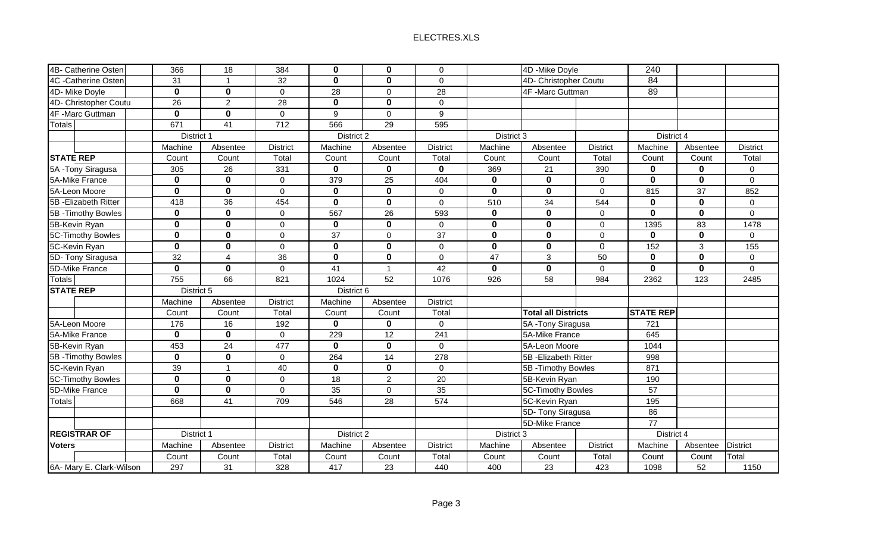|             |                                |                                              |             |                                | $\mathbf 0$                                           |                         |                            |                     |                                                                                                                                                                                                                               |             |                 |
|-------------|--------------------------------|----------------------------------------------|-------------|--------------------------------|-------------------------------------------------------|-------------------------|----------------------------|---------------------|-------------------------------------------------------------------------------------------------------------------------------------------------------------------------------------------------------------------------------|-------------|-----------------|
| 31          |                                | 32                                           | $\mathbf 0$ | $\mathbf 0$                    | $\mathbf 0$                                           |                         |                            |                     | 84                                                                                                                                                                                                                            |             |                 |
|             | $\mathbf 0$                    | $\mathbf 0$                                  |             | $\mathbf 0$                    | 28                                                    | 4F -Marc Guttman        |                            |                     |                                                                                                                                                                                                                               |             |                 |
| 26          | $\overline{2}$                 | 28                                           | $\mathbf 0$ | $\mathbf 0$                    | $\mathbf 0$                                           |                         |                            |                     |                                                                                                                                                                                                                               |             |                 |
| $\mathbf 0$ | $\mathbf 0$                    | $\mathbf 0$                                  | 9           | $\Omega$                       | $9\,$                                                 |                         |                            |                     |                                                                                                                                                                                                                               |             |                 |
| 671         | 41                             | 712                                          | 566         | 29                             | 595                                                   |                         |                            |                     |                                                                                                                                                                                                                               |             |                 |
|             |                                |                                              |             |                                |                                                       |                         |                            |                     | District 4                                                                                                                                                                                                                    |             |                 |
| Machine     | Absentee                       | <b>District</b>                              | Machine     | Absentee                       | <b>District</b>                                       | Machine                 | Absentee                   | <b>District</b>     | Machine                                                                                                                                                                                                                       | Absentee    | <b>District</b> |
| Count       | Count                          | Total                                        | Count       | Count                          | Total                                                 | Count                   | Count                      | Total               | Count                                                                                                                                                                                                                         | Count       | Total           |
| 305         | 26                             | 331                                          | $\bf{0}$    | 0                              | 0                                                     | 369                     | 21                         | 390                 | 0                                                                                                                                                                                                                             | $\bf{0}$    | $\mathbf 0$     |
| $\bf{0}$    | $\bf{0}$                       | 0                                            | 379         | 25                             | 404                                                   | $\pmb{0}$               | $\mathbf 0$                | $\mathbf 0$         | $\mathbf 0$                                                                                                                                                                                                                   | $\bf{0}$    | $\mathbf 0$     |
| $\mathbf 0$ | $\bf{0}$                       | $\overline{0}$                               | $\bf{0}$    | $\mathbf 0$                    | $\mathbf 0$                                           | $\boldsymbol{0}$        | $\mathbf 0$                | $\mathsf{O}\xspace$ | 815                                                                                                                                                                                                                           | 37          | 852             |
| 418         | 36                             | 454                                          | $\mathbf 0$ | $\mathbf 0$                    | $\mathbf 0$                                           | 510                     | 34                         | 544                 | 0                                                                                                                                                                                                                             | $\mathbf 0$ | $\mathbf 0$     |
| $\bf{0}$    | $\mathbf 0$                    | 0                                            | 567         | 26                             | 593                                                   | $\bf{0}$                | $\mathbf 0$                | 0                   | $\mathbf 0$                                                                                                                                                                                                                   | $\mathbf 0$ | $\overline{0}$  |
| $\bf{0}$    | $\mathbf 0$                    | 0                                            | $\mathbf 0$ | $\mathbf 0$                    | $\mathbf 0$                                           | $\pmb{0}$               | $\mathbf 0$                | $\mathsf{O}\xspace$ | 1395                                                                                                                                                                                                                          | 83          | 1478            |
| $\mathbf 0$ | $\mathbf 0$                    | 0                                            | 37          | $\mathbf 0$                    | 37                                                    | $\overline{\mathbf{0}}$ | $\overline{\mathbf{0}}$    | $\mathsf{O}\xspace$ | $\mathbf{0}$                                                                                                                                                                                                                  | $\bf{0}$    | $\mathbf 0$     |
| $\mathbf 0$ | $\mathbf 0$                    | 0                                            | $\mathbf 0$ | $\mathbf 0$                    | $\mathbf 0$                                           | $\overline{\mathbf{0}}$ | $\overline{\mathbf{0}}$    | $\mathbf 0$         | 152                                                                                                                                                                                                                           | 3           | 155             |
| 32          | 4                              | 36                                           | $\mathbf 0$ | $\mathbf 0$                    | $\mathbf 0$                                           | 47                      | $\mathbf{3}$               | 50                  | $\bf{0}$                                                                                                                                                                                                                      | $\bf{0}$    | $\mathbf 0$     |
| $\bf{0}$    | $\bf{0}$                       | 0                                            | 41          | $\blacktriangleleft$           | 42                                                    | $\mathbf 0$             | $\mathbf 0$                | $\Omega$            | $\mathbf{0}$                                                                                                                                                                                                                  | $\bf{0}$    | $\Omega$        |
| 755         | 66                             | 821                                          | 1024        | 52                             | 1076                                                  | 926                     | 58                         | 984                 | 2362                                                                                                                                                                                                                          | 123         | 2485            |
|             |                                |                                              |             |                                |                                                       |                         |                            |                     |                                                                                                                                                                                                                               |             |                 |
| Machine     | Absentee                       | <b>District</b>                              | Machine     | Absentee                       | <b>District</b>                                       |                         |                            |                     |                                                                                                                                                                                                                               |             |                 |
| Count       | Count                          | Total                                        | Count       | Count                          | Total                                                 |                         | <b>Total all Districts</b> |                     | <b>STATE REP</b>                                                                                                                                                                                                              |             |                 |
| 176         | 16                             | 192                                          | $\mathbf 0$ | $\mathbf 0$                    | $\boldsymbol{0}$                                      |                         |                            |                     | 721                                                                                                                                                                                                                           |             |                 |
| $\mathbf 0$ | $\mathbf 0$                    | $\overline{0}$                               | 229         | 12                             | 241                                                   |                         |                            |                     | 645                                                                                                                                                                                                                           |             |                 |
| 453         | 24                             | 477                                          | $\mathbf 0$ | $\mathbf 0$                    | $\mathbf 0$                                           |                         |                            |                     | 1044                                                                                                                                                                                                                          |             |                 |
| $\mathbf 0$ | $\mathbf 0$                    | $\overline{0}$                               | 264         | $\overline{14}$                | 278                                                   |                         |                            |                     | 998                                                                                                                                                                                                                           |             |                 |
| 39          | $\overline{1}$                 | 40                                           | $\mathbf 0$ | $\mathbf 0$                    | $\mathbf 0$                                           |                         |                            |                     | 871                                                                                                                                                                                                                           |             |                 |
| $\mathbf 0$ | $\bf{0}$                       | 0                                            | 18          | $\overline{2}$                 | 20                                                    |                         |                            |                     | 190                                                                                                                                                                                                                           |             |                 |
| $\mathbf 0$ | $\mathbf 0$                    | $\Omega$                                     | 35          | $\Omega$                       | 35                                                    |                         |                            |                     | 57                                                                                                                                                                                                                            |             |                 |
| 668         | 41                             | 709                                          | 546         | 28                             | 574                                                   |                         |                            |                     | 195                                                                                                                                                                                                                           |             |                 |
|             |                                |                                              |             |                                |                                                       |                         |                            |                     | 86                                                                                                                                                                                                                            |             |                 |
|             |                                |                                              |             |                                |                                                       | 5D-Mike France          |                            | $\overline{77}$     |                                                                                                                                                                                                                               |             |                 |
|             |                                |                                              |             |                                |                                                       | District 3              |                            |                     |                                                                                                                                                                                                                               |             |                 |
| Machine     | Absentee                       | <b>District</b>                              | Machine     | Absentee                       | <b>District</b>                                       | Machine                 | Absentee                   | <b>District</b>     | Machine                                                                                                                                                                                                                       | Absentee    | <b>District</b> |
| Count       | Count                          | Total                                        | Count       | Count                          | Total                                                 | Count                   | Count                      | Total               | Count                                                                                                                                                                                                                         | Count       | Total           |
| 297         | 31                             | 328                                          | 417         | 23                             | 440                                                   | 400                     | 23                         | 423                 | 1098                                                                                                                                                                                                                          | 52          | 1150            |
|             | 366<br>$\overline{\mathbf{0}}$ | 18<br>District 1<br>District 5<br>District 1 | 384         | $\mathbf 0$<br>$\overline{28}$ | $\mathbf 0$<br>District 2<br>District 6<br>District 2 |                         |                            | District 3          | 4D - Mike Doyle<br>4D- Christopher Coutu<br>5A - Tony Siragusa<br>5A-Mike France<br>5A-Leon Moore<br>5B - Elizabeth Ritter<br>5B - Timothy Bowles<br>5B-Kevin Ryan<br>5C-Timothy Bowles<br>5C-Kevin Ryan<br>5D- Tony Siragusa | 240<br>89   | District 4      |